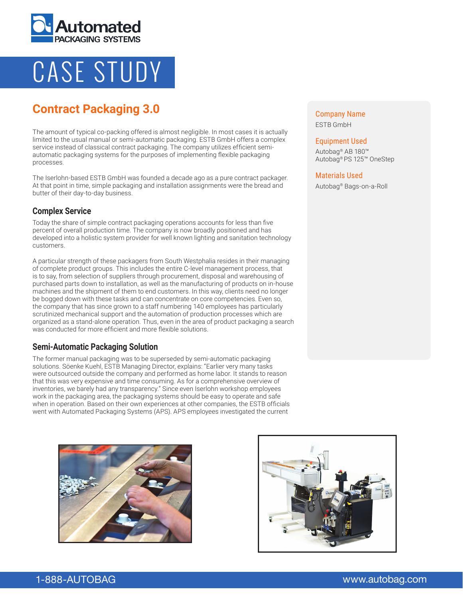

# CASE STUDY

# **Contract Packaging 3.0**

The amount of typical co-packing offered is almost negligible. In most cases it is actually limited to the usual manual or semi-automatic packaging. ESTB GmbH offers a complex service instead of classical contract packaging. The company utilizes efficient semiautomatic packaging systems for the purposes of implementing flexible packaging processes.

The Iserlohn-based ESTB GmbH was founded a decade ago as a pure contract packager. At that point in time, simple packaging and installation assignments were the bread and butter of their day-to-day business.

# **Complex Service**

Today the share of simple contract packaging operations accounts for less than five percent of overall production time. The company is now broadly positioned and has developed into a holistic system provider for well known lighting and sanitation technology customers.

A particular strength of these packagers from South Westphalia resides in their managing of complete product groups. This includes the entire C-level management process, that is to say, from selection of suppliers through procurement, disposal and warehousing of purchased parts down to installation, as well as the manufacturing of products on in-house machines and the shipment of them to end customers. In this way, clients need no longer be bogged down with these tasks and can concentrate on core competencies. Even so, the company that has since grown to a staff numbering 140 employees has particularly scrutinized mechanical support and the automation of production processes which are organized as a stand-alone operation. Thus, even in the area of product packaging a search was conducted for more efficient and more flexible solutions.

# **Semi-Automatic Packaging Solution**

The former manual packaging was to be superseded by semi-automatic packaging solutions. Söenke Kuehl, ESTB Managing Director, explains: "Earlier very many tasks were outsourced outside the company and performed as home labor. It stands to reason that this was very expensive and time consuming. As for a comprehensive overview of inventories, we barely had any transparency." Since even Iserlohn workshop employees work in the packaging area, the packaging systems should be easy to operate and safe when in operation. Based on their own experiences at other companies, the ESTB officials went with Automated Packaging Systems (APS). APS employees investigated the current





Company Name ESTB GmbH

#### Equipment Used

Autobag® AB 180™ Autobag® PS 125™ OneStep

#### Materials Used

Autobag® Bags-on-a-Roll